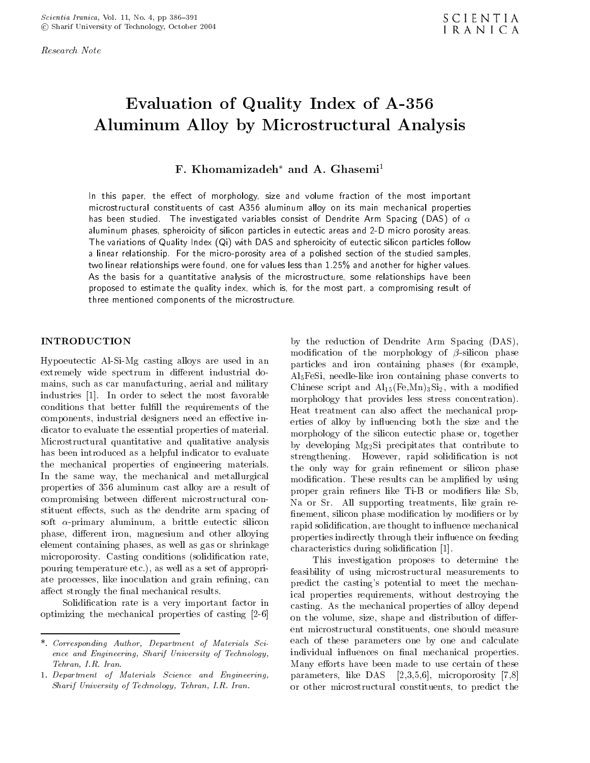Research Note

# Evaluation of Quality Index of A-356 Aluminum Alloy by Microstructural Analysis

# F. Khomamizadeh\* and A. Ghasemi<sup>1</sup>

In this paper, the effect of morphology, size and volume fraction of the most important microstructural constituents of cast A356 aluminum alloy on its main mechanical properties has been studied. The investigated variables consist of Dendrite Arm Spacing (DAS) of  $\alpha$ aluminum phases, spheroicity of silicon particles in eutectic areas and 2-D micro porosity areas. The variations of Quality Index (Qi) with DAS and spheroicity of eutectic silicon particles follow <sup>a</sup> linear relationship. For the micro-porosity area of a polished section of the studied samples, two linear relationships were found, one for values less than 1.25% and another for higher values. As the basis for <sup>a</sup> quantitative analysis of the microstructure, some relationships have been proposed to estimate the quality index, which is, for the most part, <sup>a</sup> compromising result of three mentioned components of the microstructure.

Hypoeutectic Al-Si-Mg casting alloys are used in an extremely wide spectrum in different industrial domains, such as car manufacturing, aerial and military industries [1]. In order to select the most favorable conditions that better fulfill the requirements of the components, industrial designers need an effective indicator to evaluate the essential properties of material. Microstructural quantitative and qualitative analysis has been introduced as a helpful indicator to evaluate the mechanical properties of engineering materials. In the same way, the mechanical and metallurgical properties of <sup>356</sup> aluminum cast alloy are <sup>a</sup> result of compromising between different microstructural constituent effects, such as the dendrite arm spacing of soft  $\alpha$ -primary aluminum, a brittle eutectic silicon phase, different iron, magnesium and other alloying element containing phases, as well as gas or shrinkage microporosity. Casting conditions (solidification rate, pouring temperature etc.), as well as a set of appropriate processes, like inoculation and grain refining, can affect strongly the final mechanical results.

Solidication rate is <sup>a</sup> very important factor in optimizing the mechanical properties of casting [2-6] by the reduction of Dendrite Arm Spacing (DAS), modification of the morphology of  $\beta$ -silicon phase particles and iron containing phases (for example, Al5FeSi, needle-like iron containing phase converts to Chinese script and  $\text{Al}_{15}(\text{Fe},\text{Mn})_3\text{Si}_2$ , with a modified morphology that provides less stress concentration). Heat treatment can also affect the mechanical properties of alloy by influencing both the size and the morphology of the silicon eutectic phase or, together by developing Mg2Si precipitates that contribute to strengthening. However, rapid solidication is not the only way for grain refinement or silicon phase modification. These results can be amplified by using proper grain refiners like Ti-B or modifiers like Sb, Na or Sr. All supporting treatments, like grain re finement, silicon phase modification by modifiers or by rapid solidification, are thought to influence mechanical properties indirectly through their influence on feeding characteristics during solidication [1].

This investigation proposes to determine the feasibility of using microstructural measurements to predict the casting's potential to meet the mechanical properties requirements, without destroying the casting. As the mechanical properties of alloy depend on the volume, size, shape and distribution of different microstructural constituents, one should measure each of these parameters one by one and calculate individual influences on final mechanical properties. Many efforts have been made to use certain of these parameters, like DAS [2,3,5,6], microporosity [7,8] or other microstructural constituents, to predict the

<sup>\*.</sup> Corresponding Author, Department of Materials Sci ence and Engineering, Sharif University of Technology, Tehran, I.R. Iran.

<sup>1.</sup> Department of Materials Science and Engineering, Sharif University of Technology, Tehran, I.R. Iran.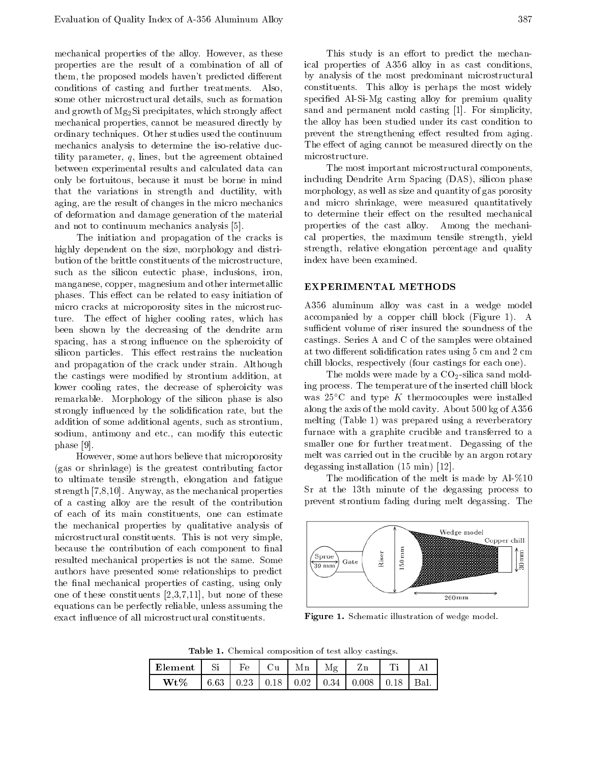mechanical properties of the alloy. However, as these properties are the result of <sup>a</sup> combination of all of them, the proposed models haven't predicted different conditions of casting and further treatments. Also, some other microstructural details, such as formation and growth of  $Mg_2Si$  precipitates, which strongly affect mechanical properties, cannot be measured directly by ordinary techniques. Other studies used the continuum mechanics analysis to determine the iso-relative ductility parameter,  $q$ , lines, but the agreement obtained between experimental results and calculated data can only be fortuitous, because it must be borne in mind that the variations in strength and ductility, with aging, are the result of changes in the micro mechanics of deformation and damage generation of the material and not to continuum mechanics analysis [5].

The initiation and propagation of the cracks is highly dependent on the size, morphology and distribution of the brittle constituents of the microstructure, such as the silicon eutectic phase, inclusions, iron, manganese, copper, magnesium and other intermetallic phases. This effect can be related to easy initiation of micro cracks at microporosity sites in the microstructure. The effect of higher cooling rates, which has been shown by the decreasing of the dendrite arm spacing, has a strong influence on the spheroicity of silicon particles. This effect restrains the nucleation and propagation of the crack under strain. Although the castings were modied by strontium addition, at lower cooling rates, the decrease of spheroicity was remarkable. Morphology of the silicon phase is also strongly influenced by the solidification rate, but the addition of some additional agents, such as strontium, sodium, antimony and etc., can modify this eutectic phase [9].

However, some authors believe that microporosity (gas or shrinkage) is the greatest contributing factor to ultimate tensile strength, elongation and fatigue strength [7,8,10]. Anyway, as the mechanical properties of <sup>a</sup> casting alloy are the result of the contribution of each of its main constituents, one can estimate the mechanical properties by qualitative analysis of microstructural constituents. This is not very simple, because the contribution of each component to final resulted mechanical properties is not the same. Some  $\left|\left\langle\frac{\text{spru}}{\text{39 mm}}\right\rangle\right|$ authors have presented some relationships to predict the final mechanical properties of casting, using only one of these constituents [2,3,7,11], but none of these equations can be perfectly reliable, unless assuming the exact influence of all microstructural constituents.

This study is an effort to predict the mechanical properties of A356 alloy in as cast conditions, by analysis of the most predominant microstructural constituents. This alloy is perhaps the most widely specied Al-Si-Mg casting alloy for premium quality sand and permanent mold casting [1]. For simplicity, the alloy has been studied under its cast condition to prevent the strengthening effect resulted from aging. The effect of aging cannot be measured directly on the microstructure.

The most important microstructural components, including Dendrite Arm Spacing (DAS), silicon phase morphology, as well as size and quantity of gas porosity and micro shrinkage, were measured quantitatively to determine their effect on the resulted mechanical properties of the cast alloy. Among the mechanical properties, the maximum tensile strength, yield strength, relative elongation percentage and quality index have been examined.

### EXPERIMENTAL METHODS

A356 aluminum alloy was cast in <sup>a</sup> wedge model accompanied by <sup>a</sup> copper chill block (Figure 1). <sup>A</sup> sufficient volume of riser insured the soundness of the castings. Series A and C of the samples were obtained at two different solidification rates using 5 cm and 2 cm chill blocks, respectively (four castings for each one).

The molds were made by a  $CO<sub>2</sub>$ -silica sand molding process. The temperature of the inserted chill block was  $25^{\circ}$ C and type K thermocouples were installed along the axis of the mold cavity. About 500 kg of A356 melting (Table 1) was prepared using a reverberatory furnace with <sup>a</sup> graphite crucible and transferred to <sup>a</sup> smaller one for further treatment. Degassing of the melt was carried out in the crucible by an argon rotary degassing installation (15 min) [12].

The modification of the melt is made by Al- $\%$ 10 Sr at the 13th minute of the degassing process to prevent strontium fading during melt degassing. The



Figure 1. Schematic illustration of wedge model.

Table 1. Chemical composition of test alloy castings.

| Element |      | Fρ   | ∼<br>١u             |      | Мg       |      | $\mathbf{m}$ . |  |
|---------|------|------|---------------------|------|----------|------|----------------|--|
| $Wt\%$  | 6.63 | 0.23 | 18  <br>$^{\prime}$ | 0.02 | $0.34\,$ | .008 | ١Q             |  |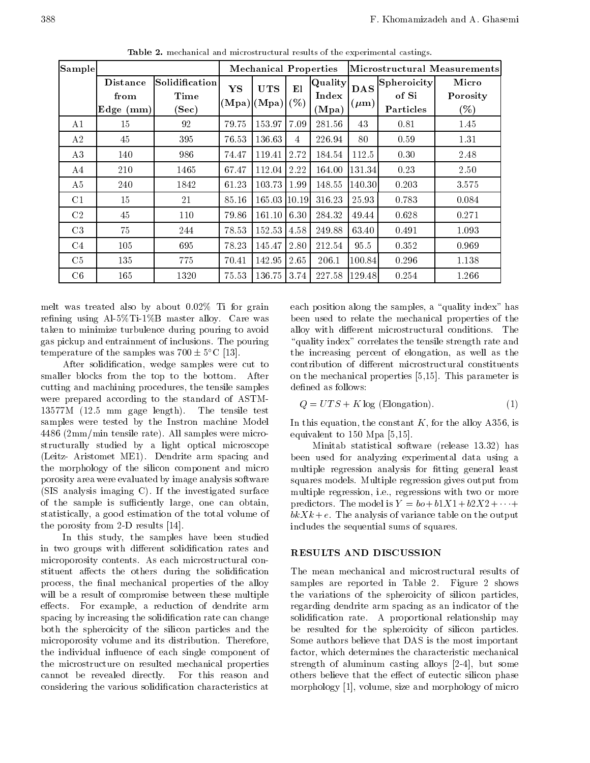| Sample         |                                       |                                 |       | <b>Mechanical Properties</b>      |      |                           |                         | Microstructural Measurements                  |                             |  |  |
|----------------|---------------------------------------|---------------------------------|-------|-----------------------------------|------|---------------------------|-------------------------|-----------------------------------------------|-----------------------------|--|--|
|                | <b>Distance</b><br>from<br> Edge (mm) | Solidification<br>Time<br>(Sec) | YS    | <b>UTS</b><br>$(Mpa) (Mpa)  (\%)$ | El   | Quality<br>Index<br>(Mpa) | <b>DAS</b><br>$(\mu m)$ | $ \mathrm{Spheroidty} $<br>of Si<br>Particles | Micro<br>Porosity<br>$(\%)$ |  |  |
| A1             | 15                                    | 92                              | 79.75 | 153.97                            | 7.09 | 281.56                    | 43                      | 0.81                                          | 1.45                        |  |  |
| A2             | 45                                    | 395                             | 76.53 | 136.63                            | 4    | 226.94                    | 80                      | 0.59                                          | 1.31                        |  |  |
| A3             | 140                                   | 986                             | 74.47 | 119.41                            | 2.72 | 184.54                    | 112.5                   | 0.30                                          | 2.48                        |  |  |
| A4             | 210                                   | 1465                            | 67.47 | 112.04                            | 2.22 | 164.00                    | 131.34                  | 0.23                                          | 2.50                        |  |  |
| A5             | 240                                   | 1842                            | 61.23 | $103.73 \mid 1.99$                |      | 148.55                    | 140.30                  | 0.203                                         | 3.575                       |  |  |
| C <sub>1</sub> | 15                                    | 21                              | 85.16 | 165.03 10.19                      |      | 316.23                    | 25.93                   | 0.783                                         | 0.084                       |  |  |
| C <sub>2</sub> | 45                                    | 110                             | 79.86 | 161.10                            | 6.30 | 284.32                    | 49.44                   | 0.628                                         | 0.271                       |  |  |
| C <sub>3</sub> | 75                                    | 244                             | 78.53 | 152.53                            | 4.58 | 249.88                    | 63.40                   | 0.491                                         | 1.093                       |  |  |
| C <sub>4</sub> | 105                                   | 695                             | 78.23 | 145.47                            | 2.80 | 212.54                    | 95.5                    | 0.352                                         | 0.969                       |  |  |
| C <sub>5</sub> | 135                                   | 775                             | 70.41 | 142.95                            | 2.65 | 206.1                     | 100.84                  | 0.296                                         | 1.138                       |  |  |
| C6             | 165                                   | 1320                            | 75.53 | 136.75                            | 3.74 | 227.58                    | 129.48                  | 0.254                                         | 1.266                       |  |  |

Table 2. mechanical and microstructural results of the experimental castings.

melt was treated also by about 0.02% Ti for grain refining using  $Al-5\%Ti-1\%B$  master alloy. Care was taken to minimize turbulence during pouring to avoid gas pickup and entrainment of inclusions. The pouring temperature of the samples was  $700 \pm 5^{\circ}$ C [13].

After solidication, wedge samples were cut to smaller blocks from the top to the bottom. After cutting and machining procedures, the tensile samples were prepared according to the standard of ASTM-13577M (12.5 mm gage length). The tensile test samples were tested by the Instron machine Model <sup>4486</sup> (2mm/min tensile rate). All samples were microstructurally studied by <sup>a</sup> light optical microscope (Leitz- Aristomet ME1). Dendrite arm spacing and the morphology of the silicon component and micro porosity area were evaluated by image analysis software (SIS analysis imaging C). If the investigated surface of the sample is sufficiently large, one can obtain, statistically, a good estimation of the total volume of the porosity from 2-D results [14].

In this study, the samples have been studied in two groups with different solidification rates and RESULTS AND DISCUSSION microporosity contents. As each microstructural constituent affects the others during the solidification process, the final mechanical properties of the alloy will be a result of compromise between these multiple effects. For example, a reduction of dendrite arm spacing by increasing the solidication rate can change both the spheroicity of the silicon particles and the microporosity volume and its distribution. Therefore, the individual influence of each single component of the microstructure on resulted mechanical properties cannot be revealed directly. For this reason and considering the various solidication characteristics at

each position along the samples, a "quality index" has been used to relate the mechanical properties of the alloy with different microstructural conditions. The "quality index" correlates the tensile strength rate and the increasing percent of elongation, as well as the contribution of different microstructural constituents on the mechanical properties [5,15]. This parameter is defined as follows:

$$
Q = UTS + K \log \text{ (Elongation)}.
$$
 (1)

In this equation, the constant  $K$ , for the alloy A356, is equivalent to 150 Mpa [5,15].

Minitab statistical software (release 13.32) has been used for analyzing experimental data using <sup>a</sup> multiple regression analysis for fitting general least squares models. Multiple regression gives output from multiple regression, i.e., regressions with two or more predictors. The model is  $Y = bo + b1X1 + b2X2 + \cdots$  $b \, k \, k + e$ . The analysis of variance table on the output includes the sequential sums of squares.

The mean mechanical and microstructural results of samples are reported in Table 2. Figure <sup>2</sup> shows the variations of the spheroicity of silicon particles, regarding dendrite arm spacing as an indicator of the solidication rate. <sup>A</sup> proportional relationship may be resulted for the spheroicity of silicon particles. Some authors believe that DAS is the most important factor, which determines the characteristic mechanical strength of aluminum casting alloys [2-4], but some others believe that the effect of eutectic silicon phase morphology [1], volume, size and morphology of micro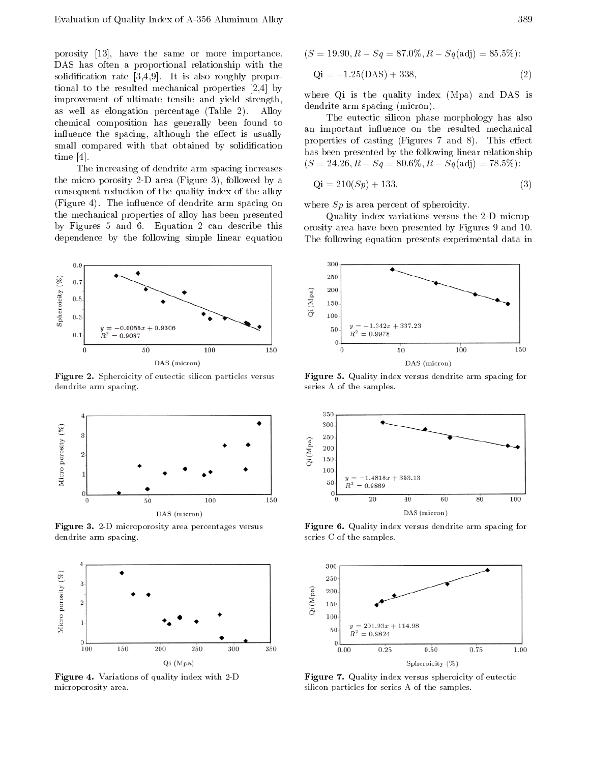porosity [13], have the same or more importance. DAS has often <sup>a</sup> proportional relationship with the solidification rate  $[3,4,9]$ . It is also roughly proportional to the resulted mechanical properties [2,4] by improvement of ultimate tensile and yield strength, as well as elongation percentage (Table 2). Alloy chemical composition has generally been found to influence the spacing, although the effect is usually small compared with that obtained by solidification time [4].

The increasing of dendrite arm spacing increases the micro porosity 2-D area (Figure 3), followed by a consequent reduction of the quality index of the alloy (Figure 4). The influence of dendrite arm spacing on the mechanical properties of alloy has been presented by Figures <sup>5</sup> and 6. Equation <sup>2</sup> can describe this dependence by the following simple linear equation



Figure 2. Spheroicity of eutectic silicon particles versus dendrite arm spacing.



Figure 3. 2-D microporosity area percentages versus dendrite arm spacing.



Figure 4. Variations of quality index with 2-D microporosity area.

$$
(S = 19.90, R
$$
  $Sq = 87.0\%, R$   $Sq(\text{adj}) = 85.5\%):$ 

$$
Qi = 1.25(DAS) + 338,
$$
 (2)

where Qi is the quality index (Mpa) and DAS is dendrite arm spacing (micron).

The eutectic silicon phase morphology has also an important influence on the resulted mechanical properties of casting (Figures 7 and 8). This effect has been presented by the following linear relationship  $(S = 24.26, R \quad Sq = 80.6\%, R \quad Sq(\text{adj}) = 78.5\%$ :

$$
Qi = 210(Sp) + 133,
$$
\n(3)

where  $Sp$  is area percent of spheroicity.

Quality index variations versus the 2-D microporosity area have been presented by Figures 9 and 10. The following equation presents experimental data in



Figure 5. Quality index versus dendrite arm spacing for series A of the samples.



Figure 6. Quality index versus dendrite arm spacing for series C of the samples.



Figure 7. Quality index versus spheroicity of eutectic silicon particles for series A of the samples.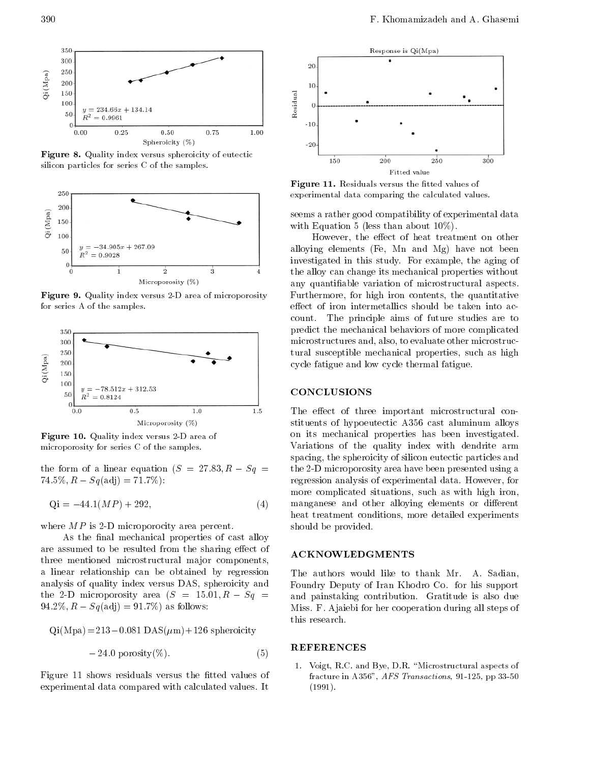

Figure 8. Quality index versus spheroicity of eutectic silicon particles for series C of the samples.



Figure 9. Quality index versus 2-D area of microporosity for series A of the samples.



Figure 10. Quality index versus 2-D area of microporosity for series C of the samples.

the form of a linear equation  $(S = 27.83, R - Sq =$  $74.5\%, R \quad Sq(\text{adj}) = 71.7\%$ :

$$
Qi = 44.1(MP) + 292,
$$
 (4) m

where  $MP$  is 2-D microporocity area percent.

As the final mechanical properties of cast alloy are assumed to be resulted from the sharing effect of three mentioned microstructural major components, <sup>a</sup> linear relationship can be obtained by regression analysis of quality index versus DAS, spheroicity and the 2-D microporosity area  $(S = 15.01, R - Sq =$ 94.2%,  $R = Sq(\text{adj}) = 91.7\%$  as follows:

$$
Qi(Mpa) = 213
$$
 0.081  $DAS(\mu m) + 126$  spherociety

$$
24.0 \text{ porosity}(\%) \tag{5}
$$

Figure 11 shows residuals versus the fitted values of experimental data compared with calculated values. It



Figure 11. Residuals versus the tted values of experimental data comparing the calculated values.

seems a rather good compatibility of experimental data with Equation 5 (less than about  $10\%$ ).

However, the effect of heat treatment on other alloying elements (Fe, Mn and Mg) have not been investigated in this study. For example, the aging of the alloy can change its mechanical properties without any quantiable variation of microstructural aspects. Furthermore, for high iron contents, the quantitative effect of iron intermetallics should be taken into account. The principle aims of future studies are to predict the mechanical behaviors of more complicated microstructures and, also, to evaluate other microstructural susceptible mechanical properties, such as high cycle fatigue and low cycle thermal fatigue.

# **CONCLUSIONS**

The effect of three important microstructural constituents of hypoeutectic A356 cast aluminum alloys on its mechanical properties has been investigated. Variations of the quality index with dendrite arm spacing, the spheroicity of silicon eutectic particles and the 2-D microporosity area have been presented using a regression analysis of experimental data. However, for more complicated situations, such as with high iron, manganese and other alloying elements or different heat treatment conditions, more detailed experiments should be provided.

The authors would like to thank Mr. A. Sadian, Foundry Deputy of Iran Khodro Co. for his support and painstaking contribution. Gratitude is also due Miss. F. Ajaiebi for her cooperation during all steps of this research.

## REFERENCES

1. Voigt, R.C. and Bye, D.R. \Microstructural aspects of fracture in A356", AFS Transactions, 91-125, pp 33-50 (1991).